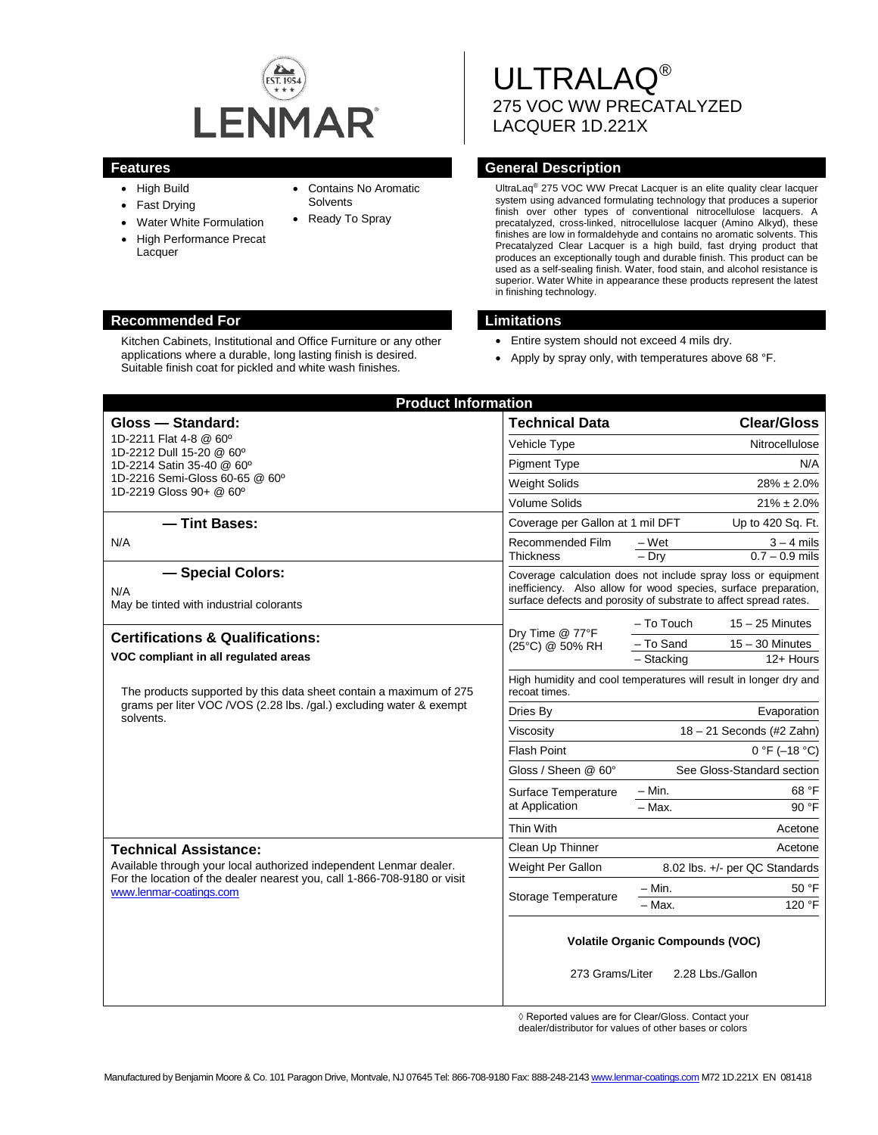

• Contains No Aromatic

**Solvents** • Ready To Spray

- High Build
- Fast Drying
- Water White Formulation
- High Performance Precat Lacquer

# **Recommended For Limitations**

Kitchen Cabinets, Institutional and Office Furniture or any other applications where a durable, long lasting finish is desired. Suitable finish coat for pickled and white wash finishes.

ULTRALAQ® 275 VOC WW PRECATALYZED LACQUER 1D.221X

# **Features General Description**

UltraLaq® 275 VOC WW Precat Lacquer is an elite quality clear lacquer system using advanced formulating technology that produces a superior finish over other types of conventional nitrocellulose lacquers. A precatalyzed, cross-linked, nitrocellulose lacquer (Amino Alkyd), these finishes are low in formaldehyde and contains no aromatic solvents. This Precatalyzed Clear Lacquer is a high build, fast drying product that produces an exceptionally tough and durable finish. This product can be used as a self-sealing finish. Water, food stain, and alcohol resistance is superior. Water White in appearance these products represent the latest in finishing technology.

- Entire system should not exceed 4 mils dry.
- Apply by spray only, with temperatures above 68 °F.

| <b>Product Information</b>                                                                                                                                                                                |                                                                                                                                                                                                       |                                                       |                    |
|-----------------------------------------------------------------------------------------------------------------------------------------------------------------------------------------------------------|-------------------------------------------------------------------------------------------------------------------------------------------------------------------------------------------------------|-------------------------------------------------------|--------------------|
| Gloss - Standard:                                                                                                                                                                                         | <b>Technical Data</b>                                                                                                                                                                                 |                                                       | <b>Clear/Gloss</b> |
| 1D-2211 Flat 4-8 @ 60°                                                                                                                                                                                    | Vehicle Type                                                                                                                                                                                          |                                                       | Nitrocellulose     |
| 1D-2212 Dull 15-20 @ 60°<br>1D-2214 Satin 35-40 @ 60°<br>1D-2216 Semi-Gloss 60-65 @ 60°<br>1D-2219 Gloss 90+ @ 60°                                                                                        | <b>Pigment Type</b>                                                                                                                                                                                   |                                                       | N/A                |
|                                                                                                                                                                                                           | <b>Weight Solids</b>                                                                                                                                                                                  |                                                       | $28\% \pm 2.0\%$   |
|                                                                                                                                                                                                           | <b>Volume Solids</b>                                                                                                                                                                                  |                                                       | $21\% \pm 2.0\%$   |
| - Tint Bases:                                                                                                                                                                                             |                                                                                                                                                                                                       | Coverage per Gallon at 1 mil DFT<br>Up to 420 Sq. Ft. |                    |
| N/A                                                                                                                                                                                                       | Recommended Film                                                                                                                                                                                      | – Wet                                                 | $3 - 4$ mils       |
|                                                                                                                                                                                                           | <b>Thickness</b>                                                                                                                                                                                      | $-$ Dry                                               | $0.7 - 0.9$ mils   |
| - Special Colors:                                                                                                                                                                                         | Coverage calculation does not include spray loss or equipment<br>inefficiency. Also allow for wood species, surface preparation,<br>surface defects and porosity of substrate to affect spread rates. |                                                       |                    |
| N/A<br>May be tinted with industrial colorants                                                                                                                                                            |                                                                                                                                                                                                       |                                                       |                    |
|                                                                                                                                                                                                           | Dry Time @ 77°F<br>(25°C) @ 50% RH                                                                                                                                                                    | - To Touch                                            | $15 - 25$ Minutes  |
| <b>Certifications &amp; Qualifications:</b>                                                                                                                                                               |                                                                                                                                                                                                       | - To Sand                                             | $15 - 30$ Minutes  |
| VOC compliant in all regulated areas                                                                                                                                                                      |                                                                                                                                                                                                       | - Stacking                                            | 12+ Hours          |
| The products supported by this data sheet contain a maximum of 275<br>grams per liter VOC / VOS (2.28 lbs. / gal.) excluding water & exempt<br>solvents.                                                  | High humidity and cool temperatures will result in longer dry and<br>recoat times.                                                                                                                    |                                                       |                    |
|                                                                                                                                                                                                           | Dries By                                                                                                                                                                                              |                                                       | Evaporation        |
|                                                                                                                                                                                                           | Viscosity                                                                                                                                                                                             | $18 - 21$ Seconds (#2 Zahn)                           |                    |
|                                                                                                                                                                                                           | Flash Point                                                                                                                                                                                           | $0 °F (-18 °C)$                                       |                    |
|                                                                                                                                                                                                           | Gloss / Sheen @ 60°                                                                                                                                                                                   | See Gloss-Standard section                            |                    |
|                                                                                                                                                                                                           | Surface Temperature<br>at Application                                                                                                                                                                 | $- Min.$                                              | 68 °F              |
|                                                                                                                                                                                                           |                                                                                                                                                                                                       | $-$ Max.                                              | 90 °F              |
|                                                                                                                                                                                                           | Thin With                                                                                                                                                                                             |                                                       | Acetone            |
| <b>Technical Assistance:</b><br>Available through your local authorized independent Lenmar dealer.<br>For the location of the dealer nearest you, call 1-866-708-9180 or visit<br>www.lenmar-coatings.com | Clean Up Thinner                                                                                                                                                                                      |                                                       | Acetone            |
|                                                                                                                                                                                                           | Weight Per Gallon                                                                                                                                                                                     | 8.02 lbs. +/- per QC Standards                        |                    |
|                                                                                                                                                                                                           | Storage Temperature                                                                                                                                                                                   | $- Min.$                                              | 50 °F              |
|                                                                                                                                                                                                           |                                                                                                                                                                                                       | – Мах.                                                | 120 °F             |
|                                                                                                                                                                                                           | <b>Volatile Organic Compounds (VOC)</b>                                                                                                                                                               |                                                       |                    |
|                                                                                                                                                                                                           | 273 Grams/Liter<br>2.28 Lbs./Gallon                                                                                                                                                                   |                                                       |                    |

◊ Reported values are for Clear/Gloss. Contact your

dealer/distributor for values of other bases or colors